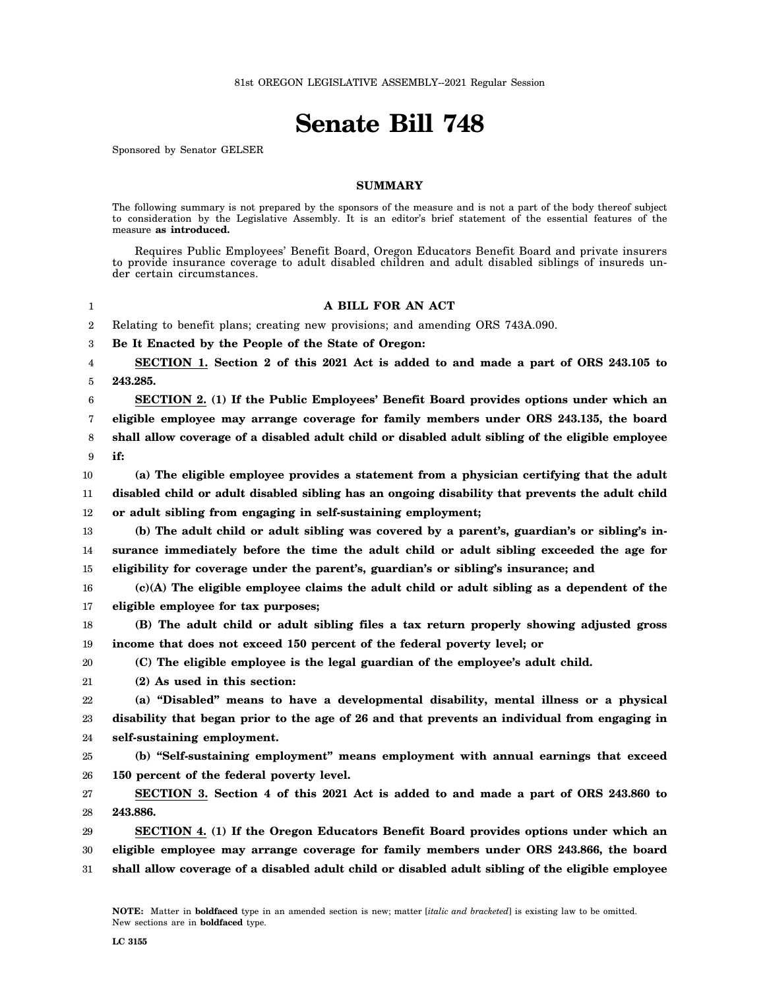## **Senate Bill 748**

Sponsored by Senator GELSER

## **SUMMARY**

The following summary is not prepared by the sponsors of the measure and is not a part of the body thereof subject to consideration by the Legislative Assembly. It is an editor's brief statement of the essential features of the measure **as introduced.**

Requires Public Employees' Benefit Board, Oregon Educators Benefit Board and private insurers to provide insurance coverage to adult disabled children and adult disabled siblings of insureds under certain circumstances.

## 1 2 3 4 5 6 7 8 9 10 11 12 13 14 15 16 17 18 19 20 21 22 23 24 25 26 27 28 29 30 31 **A BILL FOR AN ACT** Relating to benefit plans; creating new provisions; and amending ORS 743A.090. **Be It Enacted by the People of the State of Oregon: SECTION 1. Section 2 of this 2021 Act is added to and made a part of ORS 243.105 to 243.285. SECTION 2. (1) If the Public Employees' Benefit Board provides options under which an eligible employee may arrange coverage for family members under ORS 243.135, the board shall allow coverage of a disabled adult child or disabled adult sibling of the eligible employee if: (a) The eligible employee provides a statement from a physician certifying that the adult disabled child or adult disabled sibling has an ongoing disability that prevents the adult child or adult sibling from engaging in self-sustaining employment; (b) The adult child or adult sibling was covered by a parent's, guardian's or sibling's insurance immediately before the time the adult child or adult sibling exceeded the age for eligibility for coverage under the parent's, guardian's or sibling's insurance; and (c)(A) The eligible employee claims the adult child or adult sibling as a dependent of the eligible employee for tax purposes; (B) The adult child or adult sibling files a tax return properly showing adjusted gross income that does not exceed 150 percent of the federal poverty level; or (C) The eligible employee is the legal guardian of the employee's adult child. (2) As used in this section: (a) "Disabled" means to have a developmental disability, mental illness or a physical disability that began prior to the age of 26 and that prevents an individual from engaging in self-sustaining employment. (b) "Self-sustaining employment" means employment with annual earnings that exceed 150 percent of the federal poverty level. SECTION 3. Section 4 of this 2021 Act is added to and made a part of ORS 243.860 to 243.886. SECTION 4. (1) If the Oregon Educators Benefit Board provides options under which an eligible employee may arrange coverage for family members under ORS 243.866, the board shall allow coverage of a disabled adult child or disabled adult sibling of the eligible employee**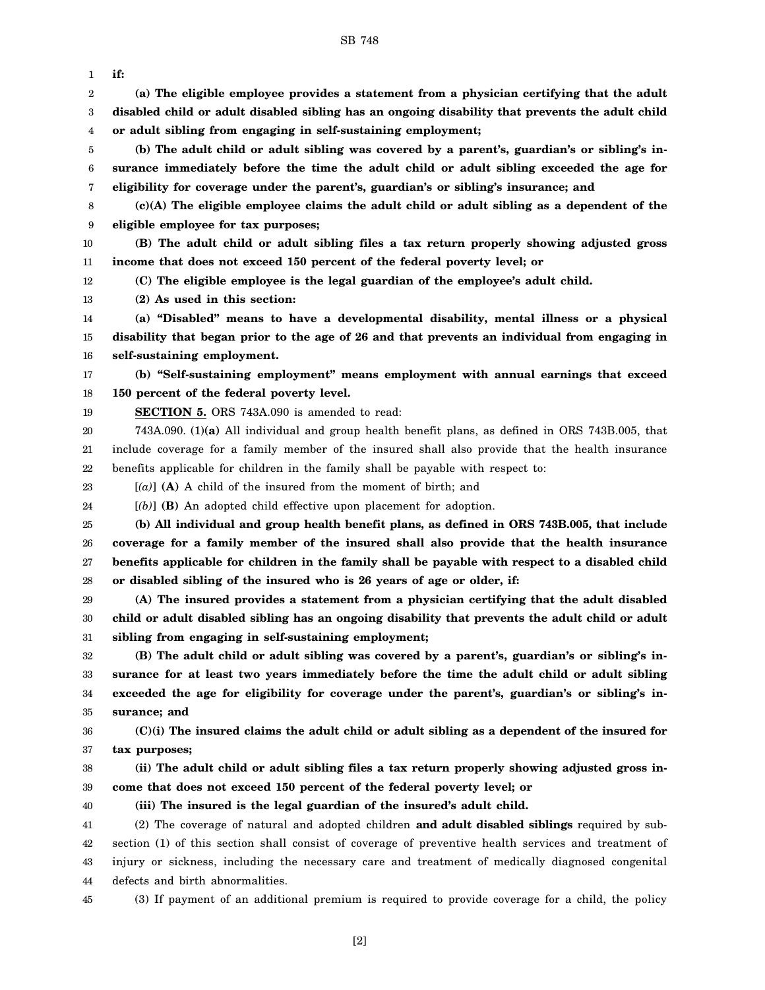SB 748

1 2 3 4 5 6 7 8 9 10 11 12 13 14 15 16 17 18 19 20 21 22 23 24 25 26 27 28 29 30 31 32 33 34 35 36 37 38 39 40 41 42 43 **if: (a) The eligible employee provides a statement from a physician certifying that the adult disabled child or adult disabled sibling has an ongoing disability that prevents the adult child or adult sibling from engaging in self-sustaining employment; (b) The adult child or adult sibling was covered by a parent's, guardian's or sibling's insurance immediately before the time the adult child or adult sibling exceeded the age for eligibility for coverage under the parent's, guardian's or sibling's insurance; and (c)(A) The eligible employee claims the adult child or adult sibling as a dependent of the eligible employee for tax purposes; (B) The adult child or adult sibling files a tax return properly showing adjusted gross income that does not exceed 150 percent of the federal poverty level; or (C) The eligible employee is the legal guardian of the employee's adult child. (2) As used in this section: (a) "Disabled" means to have a developmental disability, mental illness or a physical disability that began prior to the age of 26 and that prevents an individual from engaging in self-sustaining employment. (b) "Self-sustaining employment" means employment with annual earnings that exceed 150 percent of the federal poverty level. SECTION 5.** ORS 743A.090 is amended to read: 743A.090. (1)**(a)** All individual and group health benefit plans, as defined in ORS 743B.005, that include coverage for a family member of the insured shall also provide that the health insurance benefits applicable for children in the family shall be payable with respect to: [*(a)*] **(A)** A child of the insured from the moment of birth; and [*(b)*] **(B)** An adopted child effective upon placement for adoption. **(b) All individual and group health benefit plans, as defined in ORS 743B.005, that include coverage for a family member of the insured shall also provide that the health insurance benefits applicable for children in the family shall be payable with respect to a disabled child or disabled sibling of the insured who is 26 years of age or older, if: (A) The insured provides a statement from a physician certifying that the adult disabled child or adult disabled sibling has an ongoing disability that prevents the adult child or adult sibling from engaging in self-sustaining employment; (B) The adult child or adult sibling was covered by a parent's, guardian's or sibling's insurance for at least two years immediately before the time the adult child or adult sibling exceeded the age for eligibility for coverage under the parent's, guardian's or sibling's insurance; and (C)(i) The insured claims the adult child or adult sibling as a dependent of the insured for tax purposes; (ii) The adult child or adult sibling files a tax return properly showing adjusted gross income that does not exceed 150 percent of the federal poverty level; or (iii) The insured is the legal guardian of the insured's adult child.** (2) The coverage of natural and adopted children **and adult disabled siblings** required by subsection (1) of this section shall consist of coverage of preventive health services and treatment of injury or sickness, including the necessary care and treatment of medically diagnosed congenital

- 44 defects and birth abnormalities.
- 45

(3) If payment of an additional premium is required to provide coverage for a child, the policy